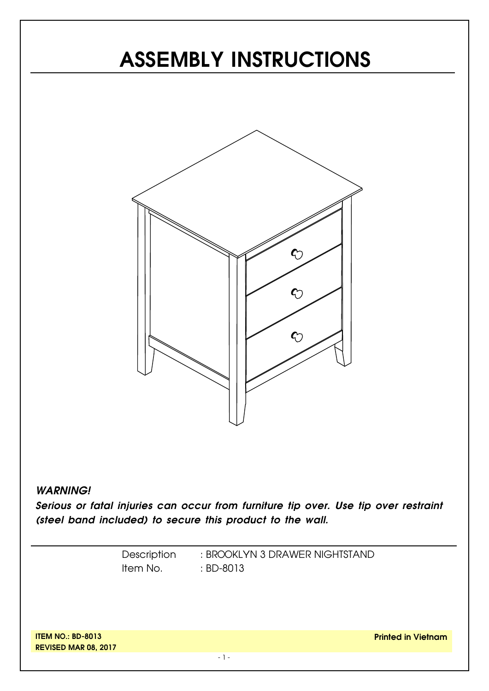# **ASSEMBLY INSTRUCTIONS**



#### *WARNING!*

*Serious or fatal injuries can occur from furniture tip over. Use tip over restraint (steel band included) to secure this product to the wall.*

> Description Item No. : BROOKLYN 3 DRAWER NIGHTSTAND : BD-8013

**ITEM NO.: BD-8013 REVISED MAR 08, 2017**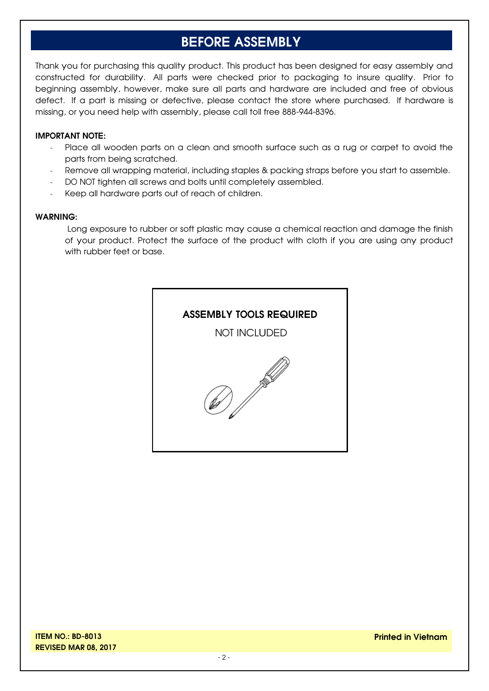#### **BEFORE ASSEMBLY**

Thank you for purchasing this quality product. This product has been designed for easy assembly and constructed for durability. All parts were checked prior to packaging to insure quality. Prior to beginning assembly, however, make sure all parts and hardware are included and free of obvious defect. If a part is missing or defective, please contact the store where purchased. If hardware is missing, or you need help with assembly, please call toll free 888-944-8396.

#### **IMPORTANT NOTE:**

- Place all wooden parts on a clean and smooth surface such as a rug or carpet to avoid the parts from being scratched.
- Remove all wrapping material, including staples & packing straps before you start to assemble.
- DO NOT tighten all screws and bolts until completely assembled.
- Keep all hardware parts out of reach of children.

#### **WARNING:**

Long exposure to rubber or soft plastic may cause a chemical reaction and damage the finish of your product. Protect the surface of the product with cloth if you are using any product with rubber feet or base.

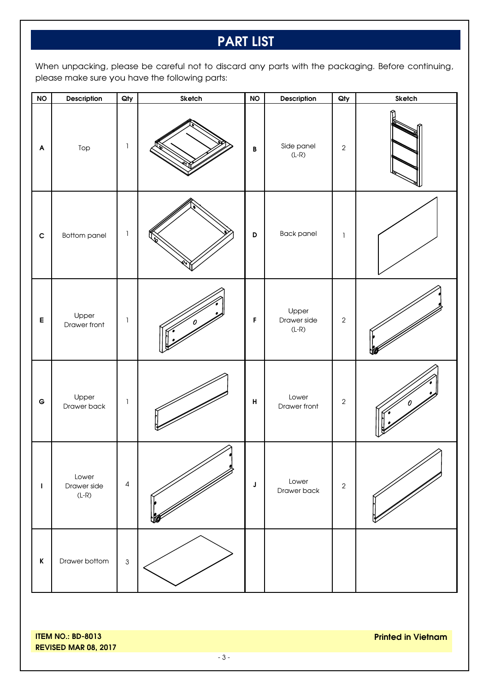### **PART LIST**

When unpacking, please be careful not to discard any parts with the packaging. Before continuing, please make sure you have the following parts:

| NO          | Description                     | Qty            | Sketch | <b>NO</b>          | Description                     | Qty            | Sketch |
|-------------|---------------------------------|----------------|--------|--------------------|---------------------------------|----------------|--------|
| A           | Top                             | 1              |        | $\, {\bf B}$       | Side panel<br>$(L-R)$           | $\overline{2}$ |        |
| $\mathbf c$ | <b>Bottom panel</b>             | 1              |        | D                  | <b>Back panel</b>               | $\mathbf{I}$   |        |
| E           | Upper<br>Drawer front           | $\mathbf{I}$   |        | F                  | Upper<br>Drawer side<br>$(L-R)$ | $\sqrt{2}$     |        |
| $\mathbf G$ | Upper<br>Drawer back            | $\mathbf{I}$   |        | $\pmb{\mathsf{H}}$ | Lower<br>Drawer front           | $\overline{2}$ |        |
| J.          | Lower<br>Drawer side<br>$(L-R)$ | $\sqrt{4}$     |        | $\mathsf J$        | Lower<br>Drawer back            | $\overline{2}$ |        |
| $\mathsf K$ | Drawer bottom                   | $\mathfrak{S}$ |        |                    |                                 |                |        |

**ITEM NO.: BD-8013 REVISED MAR 08, 2017**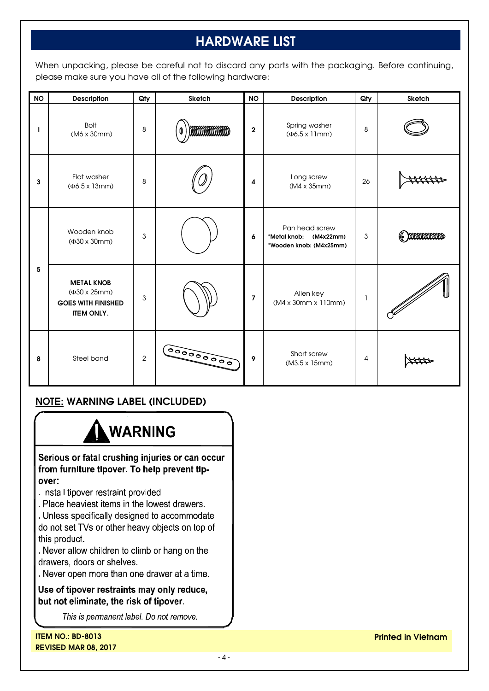## **HARDWARE LIST**

When unpacking, please be careful not to discard any parts with the packaging. Before continuing, please make sure you have all of the following hardware:

| <b>NO</b> | Description                                                                                  | Qty            | Sketch     | <b>NO</b>               | Description                                                         | Qty | Sketch |
|-----------|----------------------------------------------------------------------------------------------|----------------|------------|-------------------------|---------------------------------------------------------------------|-----|--------|
| L         | <b>Bolt</b><br>(M6 x 30mm)                                                                   | 8              | mmmmm<br>0 | $\overline{\mathbf{2}}$ | Spring washer<br>$(\Phi6.5 \times 11$ mm)                           | 8   |        |
| 3         | Flat washer<br>$(46.5 \times 13 \text{mm})$                                                  | 8              |            | $\overline{\mathbf{4}}$ | Long screw<br>(M4 x 35mm)                                           | 26  |        |
| 5         | Wooden knob<br>$(\Phi30 \times 30 \text{mm})$                                                | 3              |            | 6                       | Pan head screw<br>*Metal knob: (M4x22mm)<br>*Wooden knob: (M4x25mm) | 3   | mmmmm  |
|           | <b>METAL KNOB</b><br>$(430 \times 25)$ mm)<br><b>GOES WITH FINISHED</b><br><b>ITEM ONLY.</b> | 3              |            | $\overline{7}$          | Allen key<br>(M4 x 30mm x 110mm)                                    | I   |        |
| 8         | Steel band                                                                                   | $\overline{2}$ |            | 9                       | Short screw<br>(M3.5 x 15mm)                                        | 4   | sttta  |

#### **NOTE: WARNING LABEL (INCLUDED)**

# **WARNING**

Serious or fatal crushing injuries or can occur from furniture tipover. To help prevent tipover:

- . Install tipover restraint provided.
- . Place heaviest items in the lowest drawers.
- . Unless specifically designed to accommodate

do not set TVs or other heavy objects on top of this product.

Never allow children to climb or hang on the drawers, doors or shelves.

. Never open more than one drawer at a time.

Use of tipover restraints may only reduce, but not eliminate, the risk of tipover.

This is permanent label. Do not remove.

**ITEM NO.: BD-8013 REVISED MAR 08, 2017**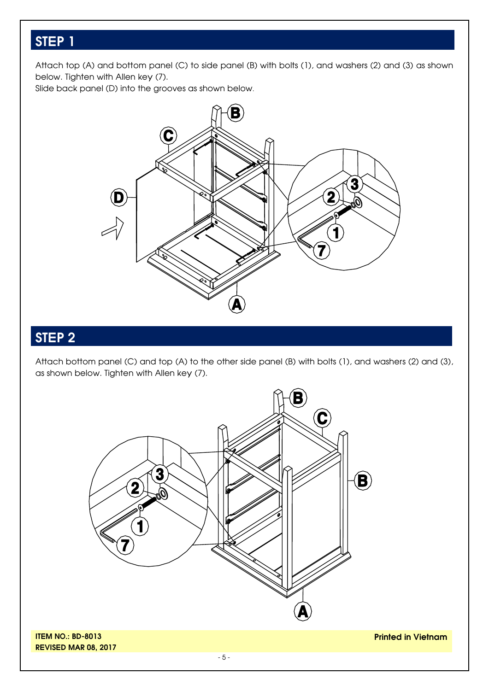Attach top (A) and bottom panel (C) to side panel (B) with bolts (1), and washers (2) and (3) as shown below. Tighten with Allen key (7).

Slide back panel (D) into the grooves as shown below.



## **STEP 2**

Attach bottom panel (C) and top (A) to the other side panel (B) with bolts (1), and washers (2) and (3), as shown below. Tighten with Allen key (7).

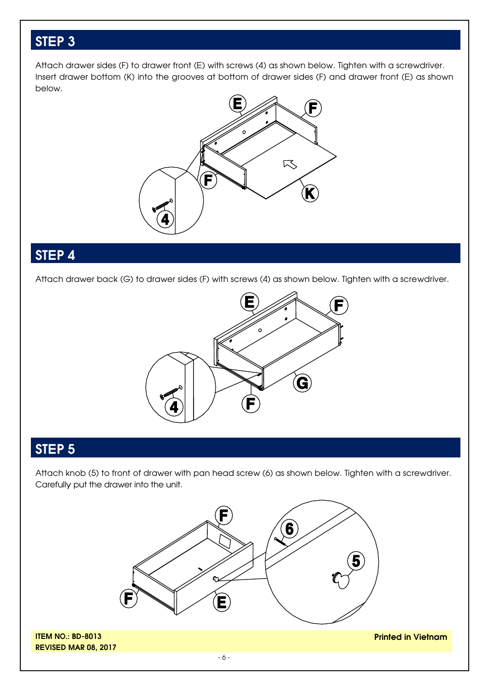Attach drawer sides (F) to drawer front (E) with screws (4) as shown below. Tighten with a screwdriver. Insert drawer bottom (K) into the grooves at bottom of drawer sides (F) and drawer front (E) as shown below.



#### **STEP 4**

Attach drawer back (G) to drawer sides (F) with screws (4) as shown below. Tighten with a screwdriver.



### **STEP 5**

Attach knob (5) to front of drawer with pan head screw (6) as shown below. Tighten with a screwdriver. Carefully put the drawer into the unit.



**ITEM NO.: BD-8013 REVISED MAR 08, 2017**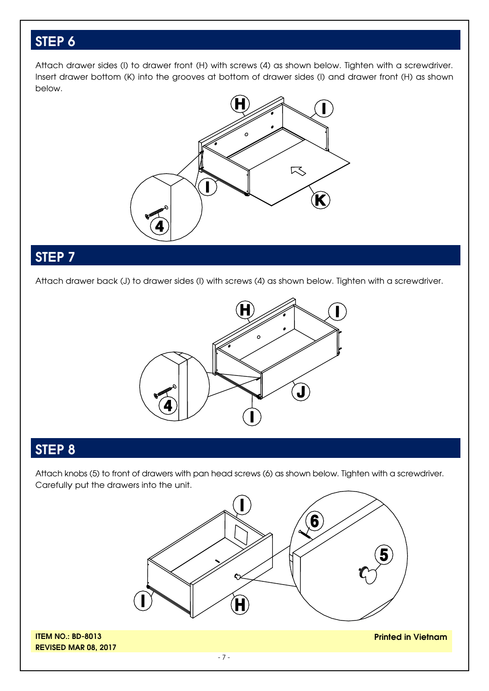Attach drawer sides (I) to drawer front (H) with screws (4) as shown below. Tighten with a screwdriver. Insert drawer bottom (K) into the grooves at bottom of drawer sides (I) and drawer front (H) as shown below.



#### **STEP 7**

Attach drawer back (J) to drawer sides (I) with screws (4) as shown below. Tighten with a screwdriver.



#### **STEP 8**

Attach knobs (5) to front of drawers with pan head screws (6) as shown below. Tighten with a screwdriver. Carefully put the drawers into the unit.



**ITEM NO.: BD-8013 REVISED MAR 08, 2017**